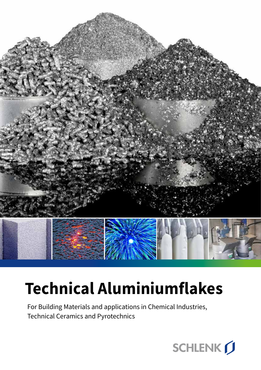

# **Technical Aluminiumflakes**

For Building Materials and applications in Chemical Industries, Technical Ceramics and Pyrotechnics

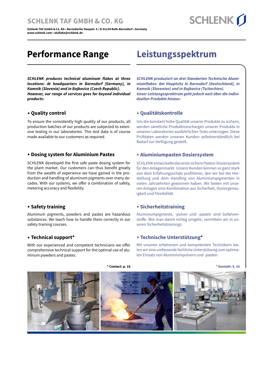#### **www.schlenk.com • aluflake@schlenk.de Application Service:** Dr. Gerhard Spicker, Tel. +49 9171 808 - 350, **SCHLENK TAF GMBH & CO. KG**

Dr. Sebastian Bergold, Tel. +49 9171 808 - 586, Stephan Krebs, Tel. +49 9171 808 - 315, **Schlenk TAF GmbH & Co. KG • Barnsdorfer Haupstr. 5 • D-91154 Roth-Barnsdorf • Germany** www.schlenk.com • aluflake@schlenk.de **Sales Department:** Andreas Becker, Tel. +49 9171 808 - 262

### **Performance Range**

*SCHLENK produces technical aluminum flakes at three locations: At headquarters in Barnsdorf (Germany), in Kamnik (Slovenia) and in Bojkovice (Czech Republic). However, our range of services goes far beyond individual products:*

#### **. Quality control**

To ensure the consistently high quality of our products, all production batches of our products are subjected to extensive testing in our laboratories. This test data is of course made available to our customers as required.

#### **. Dosing system for Aluminium Pastes**

SCHLENK developed the first safe paste dosing system for the plant market. Our customers can thus benefit greatly from the wealth of experience we have gained in the production and handling of aluminum pigments over many decades. With our systems, we offer a combination of safety, metering accuracy and flexibility.

#### **. Safety training**

Aluminum pigments, powders and pastes are hazardous substances. We teach how to handle them correctly in our safety training courses.

#### **. Technical support\***

With our experienced and competent technicians we offer comprehensive technical support for the optimal use of aluminum powders and pastes*.*

### **Leistungsspektrum**

*SCHLENK produziert an drei Standorten Technische Aluminiumflakes: Am Hauptsitz in Barnsdorf (Deutschland), in Kamnik (Slovenien) und in Bojkovice (Tschechien). Unser Leistungssprektrum geht jedoch weit über die individuellen Produkte hinaus:*

#### **. Qualitätskontrolle**

Um die konstant hohe Qualität unserer Produkte zu sichern, werden sämtliche Produktionschargen unserer Produkte in unseren Laboratorien ausführlichen Tests unterzogen. Diese Prüfdaten werden unseren Kunden selbstverständlich bei Bedarf zur Verfügung gestellt.

#### **. Aluminiumpasten Dosiersystem**

SCHLENK entwickelte das erste sichere Pasten-Dosiersystem für den Anlagenmarkt. Unsere Kunden können so ganz stark von dem Erfahrungsschatz profitieren, den wir bei der Herstellung und dem Handling von Aluminiumpigmenten in vielen Jahrzehnten gewonnen haben. Wir bieten mit unseren Anlagen eine Kombination aus Sicherheit, Dosiergenauigkeit und Flexibilität.

#### **. Sicherheitstraining**

Aluminiumpigmente, -pulver und -pasten sind Gefahrenstoffe. Wie man damit richtig umgeht, vermitteln wir in unseren Sicherheitstrainings.

#### **. Technische Unterstützung\***

Mit unseren erfahrenen und kompetenten Technikern bieten wir eine umfassende fachliche Unterstützung zum optimalen Einsatz von Aluminiumpulvern und -pasten.



**\* Contact: p. 16 \* Kontakt: S. 16**

# **SCHLENK**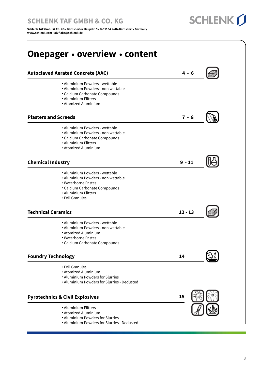Dr. Sebastian Bergold, Tel. +49 9171 808 - 586, Stephan Krebs, Tel. +49 9171 808 - 315, **Schlenk TAF GmbH & Co. KG • Barnsdorfer Haupstr. 5 • D-91154 Roth-Barnsdorf • Germany** اس سيد السيد العام العام العام العام العام العام العام العام العام العام العام العام العام العام ال<br>العام العام العام العام العام العام العام العام العام العام العام العام العام العام العام العام العام العام ال **Sales Department:** Andreas Becker, Tel. +49 9171 808 - 262 **www.schlenk.com • aluflake@schlenk.de**

#### **Chemical Industry** . Aluminium Powders - wettable . Aluminium Powders - non wettable . Waterborne Pastes . Calcium Carbonate Compounds . Aluminium Flitters . Foil Granules **9 - 11 Plasters and Screeds** . Aluminium Powders - wettable . Aluminium Powders - non wettable . Calcium Carbonate Compounds . Aluminium Flitters . Atomized Aluminium  **7 - 8 Autoclaved Aerated Concrete (AAC)** . Aluminium Powders - wettable . Aluminium Powders - non wettable . Calcium Carbonate Compounds . Aluminium Flitters . Atomized Aluminium  **4 - 6 Pyrotechnics & Civil Explosives** . Aluminium Flitters . Atomized Aluminium . Aluminium Powders for Slurries **Foundry Technology** . Foil Granules . Atomized Aluminium . Aluminium Powders for Slurries . Aluminium Powders for Slurries - Dedusted **14 15 Technical Ceramics** . Aluminium Powders - wettable . Aluminium Powders - non wettable . Atomized Aluminium . Waterborne Pastes . Calcium Carbonate Compounds **12 - 13 Onepager . overview . content**

. Aluminium Powders for Slurries - Dedusted

**SCHLENK**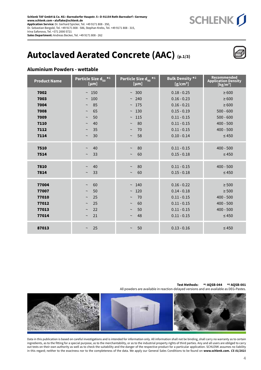

### **Autoclaved Aerated Concrete (AAC) (p.1/3)**

#### **Aluminium Powders - wettable**

| <b>Product Name</b> | Particle Size $d_{50}$ <sup>*1</sup><br>[µm] | Particle Size $d_{90}$ <sup>*1</sup><br>[µm] | <b>Bulk Density *2</b><br>$[g/cm^3]$ | Recommended<br>Application Density<br>[kg/m <sup>3</sup> ] |
|---------------------|----------------------------------------------|----------------------------------------------|--------------------------------------|------------------------------------------------------------|
| 7002                | ~150                                         | ~100                                         | $0.18 - 0.25$                        | $\geq 600$                                                 |
| 7003                | 100<br>$\sim$                                | 240<br>$\sim$                                | $0.16 - 0.23$                        | $\geq 600$                                                 |
| 7004                | 85<br>$\sim$                                 | 175<br>$\thicksim$                           | $0.16 - 0.21$                        | $\geq 600$                                                 |
| 7008                | 65<br>$\sim$                                 | 130<br>$\thicksim$                           | $0.15 - 0.19$                        | $500 - 600$                                                |
| 7009                | 50<br>$\sim$                                 | 115<br>$\thicksim$                           | $0.11 - 0.15$                        | $500 - 600$                                                |
| 7110                | 40<br>$\sim$                                 | 80<br>$\thicksim$                            | $0.11 - 0.15$                        | $400 - 500$                                                |
| 7112                | 35<br>$\sim$                                 | 70<br>$\sim$                                 | $0.11 - 0.15$                        | $400 - 500$                                                |
| 7114                | 30<br>$\sim$                                 | 58<br>$\tilde{}$                             | $0.10 - 0.14$                        | $\leq 450$                                                 |
| 7510                | 40<br>$\sim$                                 | 80<br>$\sim$                                 | $0.11 - 0.15$                        | $400 - 500$                                                |
| 7514                | 33<br>$\thicksim$                            | 60<br>$\sim$                                 | $0.15 - 0.18$                        | $\leq 450$                                                 |
|                     |                                              |                                              |                                      |                                                            |
| 7810                | 40<br>$\sim$                                 | 80<br>$\tilde{}$                             | $0.11 - 0.15$                        | $400 - 500$                                                |
| 7814                | 33<br>$\sim$                                 | 60<br>$\sim$                                 | $0.15 - 0.18$                        | $\leq 450$                                                 |
|                     |                                              |                                              |                                      |                                                            |
| 77004               | 60<br>$\sim$                                 | 140<br>$\thicksim$                           | $0.16 - 0.22$                        | $\geq 500$                                                 |
| 77007               | 50<br>$\thicksim$                            | 120<br>$\sim$                                | $0.14 - 0.18$                        | $\geq 500$                                                 |
| 77010               | 25<br>$\sim$                                 | 70<br>$\sim$                                 | $0.11 - 0.15$                        | $400 - 500$                                                |
| 77012               | 25<br>$\sim$                                 | 60<br>$\tilde{}$                             | $0.11 - 0.15$                        | $400 - 500$                                                |
| 77013               | 22<br>$\sim$                                 | 50<br>$\tilde{}$                             | $0.11 - 0.15$                        | $400 - 500$                                                |
| 77014               | 21<br>$\sim$                                 | 48<br>$\thicksim$                            | $0.11 - 0.15$                        | $\leq 450$                                                 |
| 87013               | 25<br>$\sim$                                 | 50<br>$\thicksim$                            | $0.13 - 0.16$                        | $\leq 450$                                                 |

#### All powders are available in reaction-delayed versions and are available as DEG-Pastes. **Test Methods: \*1 AQSB-044 \*2 AQSB-001**

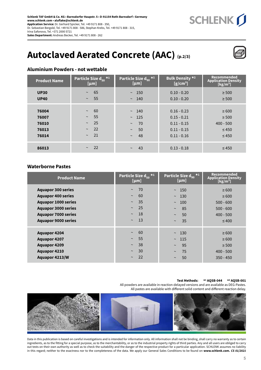

### **Autoclaved Aerated Concrete (AAC) (p.2/3)**



#### **Aluminium Powders - not wettable**

| <b>Product Name</b>                       | Particle Size $d_{50}$ *1<br>[µm]                                                                     | Particle Size d <sub>90</sub> *1<br>[µm]                                           | <b>Bulk Density *2</b><br>$[g/cm^3]$                                              | Recommended<br><b>Application Density</b><br>[kg/m <sup>3</sup> ]   |
|-------------------------------------------|-------------------------------------------------------------------------------------------------------|------------------------------------------------------------------------------------|-----------------------------------------------------------------------------------|---------------------------------------------------------------------|
| <b>UP30</b><br><b>UP40</b>                | 65<br>$\sim$<br>55<br>$\thicksim$                                                                     | $\sim$ 150<br>$\sim$ 140                                                           | $0.10 - 0.20$<br>$0.10 - 0.20$                                                    | $\geq 500$<br>$\geq 500$                                            |
| 76004<br>76007<br>76010<br>76013<br>76014 | 60<br>$\thicksim$<br>55<br>$\thicksim$<br>25<br>$\thicksim$<br>22<br>$\thicksim$<br>21<br>$\thicksim$ | $\sim$ 140<br>$\sim$ 125<br>70<br>$\thicksim$<br>50<br>$\thicksim$<br>48<br>$\sim$ | $0.16 - 0.23$<br>$0.15 - 0.21$<br>$0.11 - 0.15$<br>$0.11 - 0.15$<br>$0.11 - 0.16$ | $\geq 600$<br>$\geq 500$<br>$400 - 500$<br>$\leq 450$<br>$\leq 450$ |
| 86013                                     | 22<br>$\sim$                                                                                          | 43<br>$\sim$                                                                       | $0.13 - 0.18$                                                                     | $\leq 450$                                                          |

#### **Waterborne Pastes**

| <b>Product Name</b>                                                                                                                                                            | Particle Size $d_{50}$ *1<br>[µm]                                                                 | Particle Size $d_{90}$ *1<br>[µm]                                                                      | Recommended<br>Application Density<br>[kg/m <sup>3</sup> ]                          |
|--------------------------------------------------------------------------------------------------------------------------------------------------------------------------------|---------------------------------------------------------------------------------------------------|--------------------------------------------------------------------------------------------------------|-------------------------------------------------------------------------------------|
| <b>Aquapor 300 series</b><br><b>Aquapor 400 series</b><br><b>Aquapor 1000 series</b><br><b>Aquapor 3000 series</b><br><b>Aquapor 7000 series</b><br><b>Aquapor 9000 series</b> | 70<br>$\thicksim$<br>60<br>$\sim$<br>35<br>$\sim$<br>25<br>$\sim$<br>18<br>$\sim$<br>13<br>$\sim$ | $\sim$ 150<br>130<br>$\thicksim$<br>100<br>$\thicksim$<br>85<br>$\sim$<br>50<br>$\sim$<br>35<br>$\sim$ | $\geq 600$<br>$\geq 600$<br>$500 - 600$<br>$500 - 600$<br>$400 - 500$<br>$\leq 400$ |
| <b>Aquapor 4204</b><br><b>Aquapor 4207</b><br><b>Aquapor 4209</b><br><b>Aquapor 4210</b><br><b>Aquapor 4213/W</b>                                                              | 60<br>$\sim$<br>55<br>$\sim$<br>38<br>$\sim$<br>30<br>$\sim$<br>22<br>$\sim$                      | ~130<br>115<br>$\sim$<br>95<br>$\thicksim$<br>75<br>$\sim$<br>50<br>$\sim$                             | $\geq 600$<br>$\geq 600$<br>$\geq 500$<br>$400 - 500$<br>$350 - 450$                |

#### **Test Methods: \*1 AQSB-044 \*2 AQSB-001**

All powders are available in reaction-delayed versions and are available as DEG-Pastes. All pastes are available with different solid content and different reaction delay.

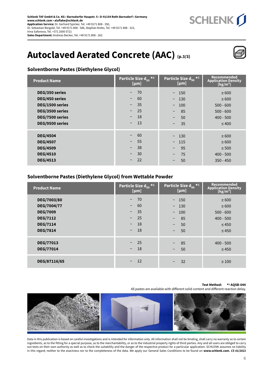

### **Autoclaved Aerated Concrete (AAC) (p.3/3)**



#### **Solventborne Pastes (Diethylene Glycol)**

| <b>Product Name</b>                                                                                          | Particle Size $d_{50}$ <sup>*1</sup><br>[µm]                                                                     | Particle Size $d_{90}$ *1<br>[µm]                                                        | Recommended<br><b>Application Density</b><br>[kg/m <sup>3</sup> ]                   |
|--------------------------------------------------------------------------------------------------------------|------------------------------------------------------------------------------------------------------------------|------------------------------------------------------------------------------------------|-------------------------------------------------------------------------------------|
| DEG/350 series<br>DEG/450 series<br>DEG/1500 series<br>DEG/3500 series<br>DEG/7500 series<br>DEG/9500 series | $\sim$ 70<br>60<br>$\thicksim$<br>35<br>$\sim$<br>25<br>$\sim$<br><b>18</b><br>$\thicksim$<br>-13<br>$\thicksim$ | $\sim$ 150<br>~130<br>100<br>$\sim$<br>85<br>$\thicksim$<br>50<br>$\sim$<br>35<br>$\sim$ | $\geq 600$<br>$\geq 600$<br>$500 - 600$<br>$500 - 600$<br>$400 - 500$<br>$\leq 400$ |
| <b>DEG/4504</b><br><b>DEG/4507</b><br><b>DEG/4509</b><br><b>DEG/4510</b><br><b>DEG/4513</b>                  | -60<br>$\thicksim$<br>55<br>$\sim$<br>38<br>$\thicksim$<br>30<br>$\sim$<br>22<br>$\thicksim$                     | ~130<br>$\sim$ 115<br>95<br>$\sim$<br>75<br>$\sim$<br>50<br>$\sim$                       | $\geq 600$<br>$\geq 600$<br>$\geq 500$<br>$400 - 500$<br>$350 - 450$                |

#### **Solventborne Pastes (Diethylene Glycol) from Wettable Powder**

| <b>Product Name</b>                                                                                    | Particle Size $d_{50}$ *1<br>[µm]                                                                                              | Particle Size $d_{90}$ *1<br>[µm]                                                              | Recommended<br><b>Application Density</b><br>[kg/m <sup>3</sup> ]                  |
|--------------------------------------------------------------------------------------------------------|--------------------------------------------------------------------------------------------------------------------------------|------------------------------------------------------------------------------------------------|------------------------------------------------------------------------------------|
| DEG/7003/80<br>DEG/7004/77<br><b>DEG/7009</b><br><b>DEG/7112</b><br><b>DEG/7114</b><br><b>DEG/7814</b> | 70<br>$\thicksim$<br>60<br>$\thicksim$<br>35<br>$\sim$<br>25<br>$\sim$<br><b>18</b><br>$\thicksim$<br><b>18</b><br>$\thicksim$ | $\sim$ 150<br>$\sim$ 130<br>100<br>$\sim$<br>85<br>$\thicksim$<br>50<br>$\sim$<br>50<br>$\sim$ | $\geq 600$<br>$\geq 600$<br>$500 - 600$<br>$400 - 500$<br>$\leq 450$<br>$\leq 450$ |
| <b>DEG/77013</b><br><b>DEG/77014</b>                                                                   | 25<br><b>Septim</b><br><b>18</b><br>$\thicksim$                                                                                | 85<br>$\sim$<br>50<br>$\sim$                                                                   | $400 - 500$<br>$\leq 450$                                                          |
| DEG/87116/65                                                                                           | <sup>12</sup><br>$\thicksim$                                                                                                   | 32<br>$\sim$                                                                                   | $\geq 100$                                                                         |

#### **Test Method: \*1 AQSB-044**

All pastes are available with different solid content and different reaction delay.

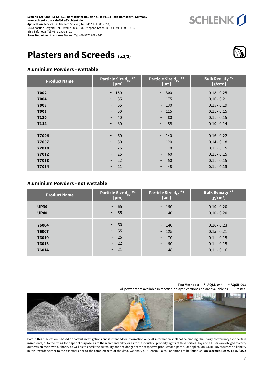

### **Plasters and Screeds (p.1/2)**

#### **Aluminium Powders - wettable**

| <b>Product Name</b>                       | Particle Size $d_{50}$ *1<br>[µm]                                                      | Particle Size $d_{90}$ * <sup>1</sup><br>[µm]                           | <b>Bulk Density *2</b><br>$[g/cm^3]$                                              |
|-------------------------------------------|----------------------------------------------------------------------------------------|-------------------------------------------------------------------------|-----------------------------------------------------------------------------------|
| 7002<br>7004<br>7008<br>7009<br>7110      | ~150<br>85<br>$\sim$<br>65<br>$\thicksim$<br>50<br>$\thicksim$<br>40<br>$\sim$         | $~\sim~300$<br>~175<br>~130<br>$\sim$ 115<br>80<br>$\sim$               | $0.18 - 0.25$<br>$0.16 - 0.21$<br>$0.15 - 0.19$<br>$0.11 - 0.15$<br>$0.11 - 0.15$ |
| 7114                                      | 30<br>$\sim$                                                                           | 58<br>$\sim$                                                            | $0.10 - 0.14$                                                                     |
| 77004<br>77007<br>77010<br>77012<br>77013 | 60<br>$\thicksim$<br>50<br>$\thicksim$<br>25<br>$\sim$<br>25<br>$\sim$<br>22<br>$\sim$ | ~140<br>$\sim$ 120<br>70<br>$\sim$<br>60<br>$\sim$<br>50<br>$\thicksim$ | $0.16 - 0.22$<br>$0.14 - 0.18$<br>$0.11 - 0.15$<br>$0.11 - 0.15$<br>$0.11 - 0.15$ |
| 77014                                     | 21<br>$\sim$                                                                           | 48<br>$\sim$                                                            | $0.11 - 0.15$                                                                     |

#### **Aluminium Powders - not wettable**

| <b>Product Name</b>                       | Particle Size d $_{50}$ * $^1$ $^1$                               | Particle Size $d_{90}$ *1                                                     | Bulk Density *2                                                                   |
|-------------------------------------------|-------------------------------------------------------------------|-------------------------------------------------------------------------------|-----------------------------------------------------------------------------------|
|                                           | [µm]                                                              | [µm]                                                                          | $[g/cm^3]$                                                                        |
| <b>UP30</b>                               | $~1$ 65                                                           | ~150                                                                          | $0.10 - 0.20$                                                                     |
| <b>UP40</b>                               | $\sim 55$                                                         | $\sim 140$                                                                    | $0.10 - 0.20$                                                                     |
| 76004<br>76007<br>76010<br>76013<br>76014 | -60<br>$\sim$<br>$\sim 55$<br>$\sim 25$<br>$\sim$ 22<br>$\sim$ 21 | $\sim$ 140<br>$\sim$ 125<br>70<br>$\sim$<br>50<br>$\thicksim$<br>48<br>$\sim$ | $0.16 - 0.23$<br>$0.15 - 0.21$<br>$0.11 - 0.15$<br>$0.11 - 0.15$<br>$0.11 - 0.16$ |

#### **Test Methods: \*1 AQSB-044 \*2 AQSB-001**

All powders are available in reaction-delayed versions and are available as DEG-Pastes.



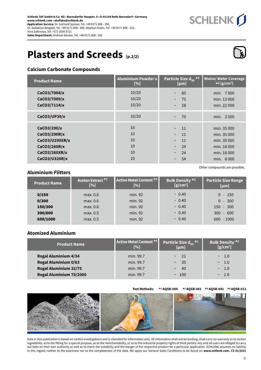## **Plasters and Screeds (p.2/2)**



SCHLENK J

#### **Calcium Carbonate Compounds**

| <b>Product Name</b>                                                                             | <b>Aluminium Powder x</b><br>[%] | Particle Size $d_{50}$ *1<br>[µm]                                                                 | <b>Blaine/ Water Coverage</b><br>$\star$ 5 [g/cm <sup>3</sup> ]                      |
|-------------------------------------------------------------------------------------------------|----------------------------------|---------------------------------------------------------------------------------------------------|--------------------------------------------------------------------------------------|
| CaCO3/7004/x<br>CaCO3/7009/x<br>CaCO3/7114/x                                                    | 10/20<br>10/20<br>10/20          | 85<br>$\thicksim$<br>75<br>$\sim$<br>28<br>$\sim$                                                 | min. 7000<br>min. 13 000<br>min. 22 000                                              |
| CaCO3/UP30/x                                                                                    | 10/20                            | 70<br>$\sim$                                                                                      | min. 3500                                                                            |
| CaCO3/290/x<br>CaCO3/290R/x<br>CaCO3/U290XR/x<br>CaCO3/260R/x<br>CaCO3/260XR/x<br>CaCO3/U320R/x | 10<br>10<br>10<br>10<br>10<br>10 | 11<br>$\sim$<br>11<br>$\thicksim$<br>11<br>$\sim$<br>24<br>$\sim$<br>24<br>$\sim$<br>54<br>$\sim$ | min. 35 000<br>min. 35 000<br>min. 35 000<br>min. 18 000<br>min. 18 000<br>min. 8000 |

#### **Aluminium Flitters**

| <b>Product Name</b> | Aceton Extract <sup>*3</sup><br>[%] | Active Metal Content *4<br>[%] | Bulk Density *2<br>$[g/cm^3]$ | <b>Particle Size Range</b><br>[µm] |
|---------------------|-------------------------------------|--------------------------------|-------------------------------|------------------------------------|
| 0/150               | max. 0.6                            | min. 92                        | ~0.40                         | $0 - 150$                          |
| 0/300               | max. 0.6                            | min. 92                        | ~0.40                         | $0 - 300$                          |
| 150/300             | max. 0.6                            | min. 92                        | ~0.40                         | $150 - 300$                        |
| 300/600             | max. 0.5                            | min. 92                        | ~0.40                         | $300 - 600$                        |
| 600/1000            | max. 0.5                            | min. 92                        | ~0.40                         | $600 - 1000$                       |
|                     |                                     |                                |                               |                                    |

#### **Atomized Aluminium**

| Product Name                                            | Active Metal Content *4<br>[%] | Particle Size $d_{50}$ <sup>*1</sup><br>$[{\mu}m]$ | Bulk Density *2<br>$[g/cm^3]$  |
|---------------------------------------------------------|--------------------------------|----------------------------------------------------|--------------------------------|
| <b>Rogal Aluminium 4/34</b><br>Rogal Aluminium 0/63     | min. 99.7<br>min. 99.7         | $\sim$ 21<br>35<br>$\sim$                          | $\sim$ 1.0<br>$\sim$ 1.0       |
| <b>Rogal Aluminium 32/75</b><br>Rogal Aluminium 75/2000 | min. 99.7<br>min. 99.7         | 40<br>$\sim$<br>$\sim$ 100                         | 1.0<br>$\sim$<br>1.0<br>$\sim$ |

**Test Methods: \*1 AQSB-044 \*2 AQSB-001 \*3 AQSB-041 \*4 AQSB-012**

Other compounds are possible.

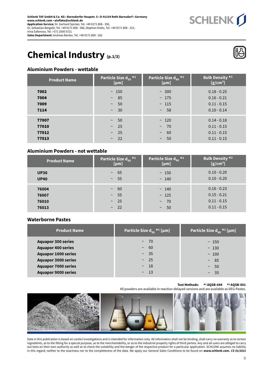SCHLENK J

## **Chemical Industry (p.1/3)**

#### **Aluminium Powders - wettable**

| <b>Product Name</b>              | Particle Size $d_{50}$ *1<br>[µm]                | Particle Size $d_{90}$ * <sup>1</sup><br>[µm]                | <b>Bulk Density *2</b><br>$[g/cm^3]$                             |
|----------------------------------|--------------------------------------------------|--------------------------------------------------------------|------------------------------------------------------------------|
| 7002<br>7004<br>7009<br>7114     | ~150<br>$\sim$ 85<br>50<br>$\sim$<br>$\sim$ 30   | $~\sim~300$<br>~175<br>~115<br>- 58<br>$\sim$                | $0.18 - 0.25$<br>$0.16 - 0.21$<br>$0.11 - 0.15$<br>$0.10 - 0.14$ |
| 77007<br>77010<br>77012<br>77013 | $\sim$ 50<br>$\sim$ 25<br>$\sim 25$<br>$\sim$ 22 | ~120<br>$-70$<br>$\thicksim$<br>60<br>$\sim$<br>50<br>$\sim$ | $0.14 - 0.18$<br>$0.11 - 0.15$<br>$0.11 - 0.15$<br>$0.11 - 0.15$ |

#### **Aluminium Powders - not wettable**

| <b>Product Name</b>              | Particle Size $d_{50}$ <sup>*1</sup><br>[µm]                   | Particle Size $d_{90}$ <sup>*1</sup><br>[µm]         | Bulk Density *2<br>$[g/cm^3]$                                    |
|----------------------------------|----------------------------------------------------------------|------------------------------------------------------|------------------------------------------------------------------|
| <b>UP30</b><br><b>UP40</b>       | 65<br>$\sim$<br>$\sim$ 55                                      | ~150<br>~140                                         | $0.10 - 0.20$<br>$0.10 - 0.20$                                   |
| 76004<br>76007<br>76010<br>76013 | 60<br>$\sim$<br>55<br>$\sim$ $-$<br>$\sim$ 25<br>-22<br>$\sim$ | ~140<br>~125<br>$-70$<br>$\sim$<br>50<br>$\thicksim$ | $0.16 - 0.23$<br>$0.15 - 0.21$<br>$0.11 - 0.15$<br>$0.11 - 0.15$ |

#### **Waterborne Pastes**

| <b>Product Name</b>        | Particle Size $d_{50}$ <sup>*1</sup> [µm] | Particle Size $d_{90}$ <sup>*1</sup> [µm] |
|----------------------------|-------------------------------------------|-------------------------------------------|
| <b>Aquapor 300 series</b>  | $\sim$ 70                                 | ~150                                      |
| <b>Aquapor 400 series</b>  | $~\sim~60$                                | ~130                                      |
| <b>Aquapor 1000 series</b> | $\sim$ 35                                 | ~100                                      |
| <b>Aquapor 3000 series</b> | $\sim 25$                                 | $\sim$ 85                                 |
| <b>Aquapor 7000 series</b> | $\sim$ 18                                 | 50<br>$\sim$                              |
| <b>Aquapor 9000 series</b> | $\sim$ 13                                 | $\sim$ 35                                 |

**Test Methods: \*1 AQSB-044 \*2 AQSB-001** 

All powders are available in reaction-delayed versions and are available as DEG-Pastes.



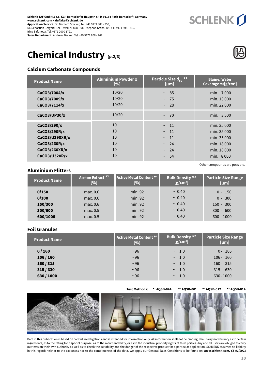### **Chemical Industry (p.2/3)**

#### **Calcium Carbonate Compounds**

| <b>Product Name</b>                                                                             | <b>Aluminium Powder x</b><br>[%] | Particle Size $d_{50}$ *1<br>[µm]                                                          | <b>Blaine/Water</b><br>Coverage $*5[g/cm^3]$                                          |
|-------------------------------------------------------------------------------------------------|----------------------------------|--------------------------------------------------------------------------------------------|---------------------------------------------------------------------------------------|
| CaCO3/7004/x<br>CaCO3/7009/x<br>CaCO3/7114/x                                                    | 10/20<br>10/20<br>10/20          | $~\sim~85$<br>75<br>$\sim$<br>28<br>$\sim$                                                 | min. 7000<br>min. 13 000<br>min. 22 000                                               |
| CaCO3/UP30/x                                                                                    | 10/20                            | 70<br>$\sim$                                                                               | min. 3 500                                                                            |
| CaCO3/290/x<br>CaCO3/290R/x<br>CaCO3/U290XR/x<br>CaCO3/260R/x<br>CaCO3/260XR/x<br>CaCO3/U320R/x | 10<br>10<br>10<br>10<br>10<br>10 | $\sim$ 11<br>-11<br>$\sim$<br>11<br>$\sim$<br>24<br>$\sim$<br>24<br>$\sim$<br>54<br>$\sim$ | min. 35 000<br>min. 35 000<br>min. 35 000<br>min. 18 000<br>min. 18 000<br>min. 8 000 |

#### **Aluminium Flitters**

| <b>Product Name</b> | Aceton Extract <sup>*3</sup><br>[%] | Active Metal Content *4<br>[%] | <b>Bulk Density *2</b><br>$[g/cm^3]$ | Particle Size Range<br>[µm] |
|---------------------|-------------------------------------|--------------------------------|--------------------------------------|-----------------------------|
| 0/150               | max. 0.6                            | min. 92                        | ~0.40                                | $0 - 150$                   |
| 0/300               | max. 0.6                            | min. 92                        | ~0.40                                | $0 - 300$                   |
| 150/300             | max. 0.6                            | min. 92                        | ~0.40                                | $150 - 300$                 |
| 300/600             | max. 0.5                            | min. 92                        | ~0.40                                | $300 - 600$                 |
| 600/1000            | max. 0.5                            | min. 92                        | ~0.40                                | $600 - 1000$                |
|                     |                                     |                                |                                      |                             |

#### **Foil Granules**

| <b>Product Name</b> | Active Metal Content *4<br>[%] | <b>Bulk Density *2</b><br>$[g/cm^3]$ | Particle Size Range<br>[µm] |
|---------------------|--------------------------------|--------------------------------------|-----------------------------|
| 0/160               | $~\sim$ 96                     | $\sim$ 1.0                           | $0 - 106$                   |
| 106/160             | $~\sim$ 96                     | $\sim$ 1.0                           | $106 - 160$                 |
| 160/315             | $~\sim$ 96                     | $\sim$ 1.0                           | $160 - 315$                 |
| 315/630             | $~\sim$ 96                     | $\sim$ 1.0                           | $315 - 630$                 |
| 630/1000            | $~\sim$ 96                     | $\sim$ 1.0                           | $630 - 1000$                |
|                     |                                |                                      |                             |

**Test Methods: \*1 AQSB-044 \*2 AQSB-001 \*4 AQSB-012 \*5 AQSB-014**

Other compounds are possible.



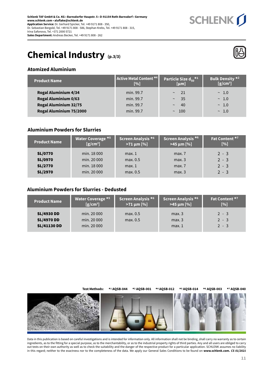

## **Chemical Industry (p.3/3)**



#### **Atomized Aluminium**

| <b>Product Name</b>         | Active Metal Content *4<br>[%] | Particle Size $d_{50}$ <sup>*1</sup><br>[µm] | Bulk Density *2<br>$[g/cm^3]$ |
|-----------------------------|--------------------------------|----------------------------------------------|-------------------------------|
| <b>Rogal Aluminium 4/34</b> | min. 99.7                      | 21<br>$\sim$                                 | $\sim 1.0$                    |
| <b>Rogal Aluminium 0/63</b> | min. 99.7                      | 35<br>$\sim$                                 | $\sim 1.0$                    |
| Rogal Aluminium 32/75       | min. 99.7                      | 40<br>$\sim$                                 | $\sim 1.0$                    |
| Rogal Aluminium 75/2000     | min. 99.7                      | $\sim$ 100                                   | $\sim 1.0$                    |
|                             |                                |                                              |                               |

#### **Aluminium Powders for Slurries**

| <b>Product Name</b> | <b>Water Coverage *5</b> | Screen Analysis <sup>*6</sup> | Screen Analysis <sup>*6</sup> | Fat Content *7 |
|---------------------|--------------------------|-------------------------------|-------------------------------|----------------|
|                     | $[g/cm^3]$               | $>71 \mu m$ [%]               | $>45 \mu m$ [%]               | [%]            |
| <b>SL/0770</b>      | min. 18 000              | max.1                         | max.7                         | $2 - 3$        |
| <b>SL/0970</b>      | min. 20 000              | max. 0.5                      | max.3                         | $2 - 3$        |
| <b>SL/2770</b>      | min. 18 000              | max.1                         | max.7                         | $2 - 3$        |
| <b>SL/2970</b>      | min. 20 000              | max. 0.5                      | max.3                         | $2 - 3$        |

#### **Aluminium Powders for Slurries - Dedusted**

| <b>Product Name</b>                                          | <b>Water Coverage *5</b>                  | Screen Analysis *6   | Screen Analysis *6      | Fat Content *7                |
|--------------------------------------------------------------|-------------------------------------------|----------------------|-------------------------|-------------------------------|
|                                                              | $[g/cm^3]$                                | $>71 \,\mu m$ [%]    | $>45 \mu m$ [%]         | [%]                           |
| <b>SL/4930 DD</b><br><b>SL/4970 DD</b><br><b>SL/41130 DD</b> | min. 20 000<br>min. 20 000<br>min. 20 000 | max. 0.5<br>max. 0.5 | max.3<br>max.3<br>max.1 | $2 - 3$<br>$2 - 3$<br>$2 - 3$ |



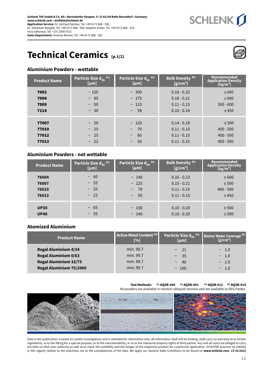### **Technical Ceramics (p.1/2)**

#### **Aluminium Powders - wettable**

| <b>Product Name</b>              | Particle Size d <sub>50</sub> * <sup>1</sup><br>[µm] | Particle Size $\overline{d}_{90}$ *1<br>[µm]                    | <b>Bulk Density *2</b><br>$[g/cm^3]$                             | Recommended<br>Application Density<br>[kg/m <sup>3</sup> ] |
|----------------------------------|------------------------------------------------------|-----------------------------------------------------------------|------------------------------------------------------------------|------------------------------------------------------------|
| 7002<br>7004<br>7009<br>7114     | ~150<br>$~\sim~85$<br>$~\sim~50$<br>$\sim 30$        | $~\sim~300$<br>~175<br>~115<br>58<br>$\sim$                     | $0.18 - 0.25$<br>$0.16 - 0.21$<br>$0.11 - 0.15$<br>$0.10 - 0.14$ | $\geq 600$<br>$\geq 600$<br>$500 - 600$<br>$\leq 450$      |
| 77007<br>77010<br>77012<br>77013 | $~\sim~$ 50<br>~25<br>~25<br>~22                     | ~120<br>-70<br>$\sim$<br>60<br>$\thicksim$<br>50<br>$\thicksim$ | $0.14 - 0.18$<br>$0.11 - 0.15$<br>$0.11 - 0.15$<br>$0.11 - 0.15$ | $\geq 500$<br>$400 - 500$<br>$400 - 500$<br>$400 - 500$    |

#### **Aluminium Powders - not wettable**

| <b>Product Name</b>     | Particle Size d <sub>50</sub> * <sup>1</sup> | Particle Size $\overline{d}_{90}$ *1 | <b>Bulk Density *2</b>                          | Recommended                                 |
|-------------------------|----------------------------------------------|--------------------------------------|-------------------------------------------------|---------------------------------------------|
|                         | [µm]                                         | [µm]                                 | $[g/cm^3]$                                      | Application Density<br>[kg/m <sup>3</sup> ] |
| 76004<br>76007<br>76010 | $~\sim~60$<br>$~\sim~55$<br>$\sim 25$        | ~140<br>~125<br>70<br>$\sim$         | $0.16 - 0.23$<br>$0.15 - 0.21$<br>$0.11 - 0.15$ | $\geq 600$<br>$\geq 500$<br>$400 - 500$     |
| 76013                   | ~22                                          | $\sim$ 50                            | $0.11 - 0.15$                                   | $\leq 450$                                  |
| <b>UP30</b>             | $~10-65$                                     | ~150                                 | $0.10 - 0.20$                                   | $\geq 500$                                  |
| <b>UP40</b>             | $\sim 55$                                    | ~140                                 | $0.10 - 0.20$                                   | $\geq 500$                                  |

#### **Atomized Aluminium**

| <b>Product Name</b>         | Active Metal Content *4<br>[%] | Particle Size $d_{90}$ *1<br>[µm] | Blaine/Water Coverage <sup>*5</sup><br>$[g/cm^3]$ |
|-----------------------------|--------------------------------|-----------------------------------|---------------------------------------------------|
| <b>Rogal Aluminium 4/34</b> | min. 99.7                      | $\sim$ 21                         | $\sim$ 1.0                                        |
| <b>Rogal Aluminium 0/63</b> | min. 99.7                      | $\sim$ 35                         | $\sim$ 1.0                                        |
| Rogal Aluminium 32/75       | min. 99.7                      | 40 <sup>°</sup><br>$\sim$         | $\sim$ 1.0                                        |
| Rogal Aluminium 75/2000     | min. 99.7                      | ~100                              | $\sim$ 1.0                                        |

#### **Test Methods: \*1 AQSB-044 \*2 AQSB-001 \*4 AQSB-012 \*5 AQSB-014**

All powders are available in reaction-delayed versions and are available as DEG-Pastes.



Data in this publication is based on careful investigations and is intended for information only. All information shall not be binding, shall carry no warranty as to certain ingredients, as to the fitting for a special purpose, as to the merchantability, or as to the industrial property rights of third parties. Any and all users are obliged to carry out tests on their own authority as well as to check the suitability and the danger of the respective product for a particular application. SCHLENK assumes no liability in this regard; neither to the exactness nor to the completeness of the data. We apply our General Sales Conditions to be found on **www.schlenk.com.** *CS 01/2021*

**SCHLENK**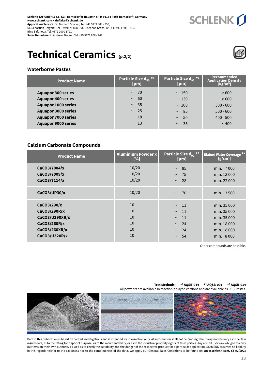



SCHLENK J

#### **Waterborne Pastes**

| <b>Product Name</b>        | Particle Size $\overline{d}_{50}$ *1<br>[µm] | Particle Size d <sub>90</sub> * <sup>1</sup><br>[µm] | <b>Recommended</b><br><b>Application Density</b><br>[kg/m <sup>3</sup> ] |
|----------------------------|----------------------------------------------|------------------------------------------------------|--------------------------------------------------------------------------|
| <b>Aquapor 300 series</b>  | - 70<br>$\sim$                               | ~150                                                 | $\geq 600$                                                               |
| <b>Aquapor 400 series</b>  | 60<br>$\sim$                                 | ~130                                                 | $\geq 600$                                                               |
| <b>Aquapor 1000 series</b> | $\sim 35$                                    | ~100                                                 | $500 - 600$                                                              |
| <b>Aquapor 3000 series</b> | $\sim$ 25                                    | 85<br>$\sim$                                         | $500 - 600$                                                              |
| <b>Aquapor 7000 series</b> | <sup>18</sup><br>$\sim$                      | 50<br>$\sim$                                         | $400 - 500$                                                              |
| <b>Aquapor 9000 series</b> | $\sim$ 13                                    | -35<br>$\sim$                                        | $\leq 400$                                                               |

#### **Calcium Carbonate Compounds**

| <b>Product Name</b>                                                                             | <b>Aluminium Powder x</b><br>[%] | Particle Size $d_{90}$ <sup>*1</sup><br>[µm]                                                            | <b>Blaine/Water Coverage *5</b><br>$[g/cm^3]$                                        |
|-------------------------------------------------------------------------------------------------|----------------------------------|---------------------------------------------------------------------------------------------------------|--------------------------------------------------------------------------------------|
| CaCO3/7004/x<br>CaCO3/7009/x<br>CaCO3/7114/x                                                    | 10/20<br>10/20<br>10/20          | 85<br>$\sim$<br>75<br>$\sim$<br>28<br>$\thicksim$                                                       | min. 7000<br>min. 13 000<br>min. 22 000                                              |
| CaCO3/UP30/x                                                                                    | 10/20                            | 70<br>$\sim$                                                                                            | min. 3500                                                                            |
| CaCO3/290/x<br>CaCO3/290R/x<br>CaCO3/U290XR/x<br>CaCO3/260R/x<br>CaCO3/260XR/x<br>CaCO3/U320R/x | 10<br>10<br>10<br>10<br>10<br>10 | 11<br>$\sim$<br><sup>11</sup><br>$\sim$<br>11<br>$\sim$<br>24<br>$\sim$<br>24<br>$\sim$<br>54<br>$\sim$ | min. 35 000<br>min. 35 000<br>min. 35 000<br>min. 18 000<br>min. 18 000<br>min. 8000 |

Other compounds are possible.

All powders are available in reaction-delayed versions and are available as DEG-Pastes.

**Test Methods: \*1 AQSB-044 \*2 AQSB-001 \*5 AQSB-014**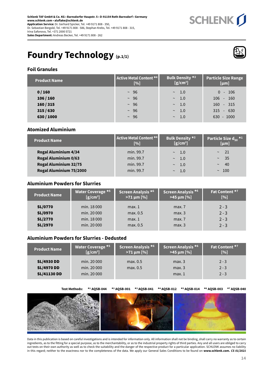

## **Foundry Technology (p.1/1)**



#### **Foil Granules**

| <b>Product Name</b> | Active Metal Content *4<br>[%] | <b>Bulk Density *2</b><br>$[g/cm^3]$ | Particle Size Range<br>[µm] |
|---------------------|--------------------------------|--------------------------------------|-----------------------------|
| 0/160               | $~\sim~96$                     | $\sim$ 1.0                           | $0 - 106$                   |
| 106/160             | $~\sim~96$                     | $\sim$ 1.0                           | $106 - 160$                 |
| 160/315             | $\sim$ 96                      | $\sim$ 1.0                           | $160 - 315$                 |
| 315/630             | $~\sim~96$                     | 1.0<br>$\sim$                        | $315 - 630$                 |
| 630 / 1000          | $~\sim~96$                     | $\sim$ 1.0                           | $630 - 1000$                |

#### **Atomized Aluminium**

| <b>Product Name</b>          | <b>Active Metal Content *4</b><br>$\lceil 96 \rceil$ | <b>Bulk Density *2</b><br>$[g/cm^3]$ | Particle Size $d_{50}$ <sup>*1</sup><br>[µm] |
|------------------------------|------------------------------------------------------|--------------------------------------|----------------------------------------------|
| <b>Rogal Aluminium 4/34</b>  | min. 99.7                                            | $\sim$ 1.0                           | 21                                           |
| <b>Rogal Aluminium 0/63</b>  | min. 99.7                                            | $\sim$ 1.0                           | - 35<br>$\sim$                               |
| <b>Rogal Aluminium 32/75</b> | min. 99.7                                            | $\sim$ 1.0                           | 40<br>$\sim$                                 |
| Rogal Aluminium 75/2000      | min. 99.7                                            | $\sim$ 1.0                           | ~100                                         |

#### **Aluminium Powders for Slurries**

| <b>Product Name</b> | <b>Water Coverage *5</b><br>$[g/cm^3]$ | Screen Analysis *6<br>$>71 \,\mu m$ [%] | Screen Analysis *6<br>$>45 \mu m$ [%] | Fat Content *7<br>[%] |
|---------------------|----------------------------------------|-----------------------------------------|---------------------------------------|-----------------------|
| <b>SL/0770</b>      | min. 18 000                            | max.1                                   | max.7                                 | $2 - 3$               |
| <b>SL/0970</b>      | min. 20 000                            | max. 0.5                                | max.3                                 | $2 - 3$               |
| <b>SL/2770</b>      | min. 18 000                            | max.1                                   | max.7                                 | $2 - 3$               |
| <b>SL/2970</b>      | min. 20 000                            | max. 0.5                                | max.3                                 | $2 - 3$               |

#### **Aluminium Powders for Slurries - Dedusted**

| <b>Product Name</b>                                          | Water Coverage *5                         | Screen Analysis <sup>*6</sup> | Screen Analysis *6      | Fat Content *7                |
|--------------------------------------------------------------|-------------------------------------------|-------------------------------|-------------------------|-------------------------------|
|                                                              | $[g/cm^3]$                                | $>71 \mu m$ [%]               | $>45 \mu m$ [%]         | [%]                           |
| <b>SL/4930 DD</b><br><b>SL/4970 DD</b><br><b>SL/41130 DD</b> | min. 20 000<br>min. 20 000<br>min. 20 000 | max. 0.5<br>max. 0.5          | max.3<br>max.3<br>max.1 | $2 - 3$<br>$2 - 3$<br>$2 - 3$ |

**Test Methods: \*1 AQSB-044 \*2 AQSB-001 \*3 AQSB-041 \*4 AQSB-012 \*5 AQSB-014 \*6 AQSB-003 \*7 AQSB-040**

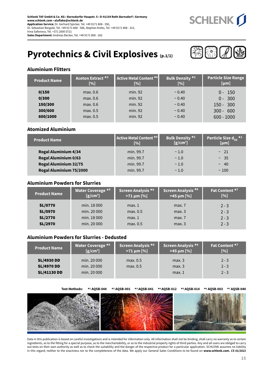

## **Pyrotechnics & Civil Explosives (p.1/1)**



#### **Aluminium Flitters**

| <b>Product Name</b> | Aceton Extract <sup>*3</sup><br>[%] | <b>Active Metal Content *4</b><br>[%] | <b>Bulk Density *2</b><br>[%] | <b>Particle Size Range</b><br>[µm] |
|---------------------|-------------------------------------|---------------------------------------|-------------------------------|------------------------------------|
| 0/150               | max. 0.6                            | min. 92                               | ~0.40                         | $0 - 150$                          |
| 0/300               | max. 0.6                            | min. 92                               | ~0.40                         | $0 - 300$                          |
| 150/300             | max. 0.6                            | min. 92                               | ~0.40                         | $150 - 300$                        |
| 300/600             | max. 0.5                            | min. 92                               | ~0.40                         | $300 - 600$                        |
| 600/1000            | max. 0.5                            | min. 92                               | ~0.40                         | $600 - 1000$                       |

#### **Atomized Aluminium**

| <b>Product Name</b>          | Active Metal Content *4<br>$\lceil 96 \rceil$ | <b>Bulk Density *2</b><br>$[g/cm^3]$ | Particle Size $d_{50}$ <sup>*1</sup><br>[µm] |
|------------------------------|-----------------------------------------------|--------------------------------------|----------------------------------------------|
| <b>Rogal Aluminium 4/34</b>  | min. 99.7                                     | $\sim$ 1.0                           | $\sim$ 21                                    |
| <b>Rogal Aluminium 0/63</b>  | min. 99.7                                     | $\sim$ 1.0                           | $~\sim~35$                                   |
| <b>Rogal Aluminium 32/75</b> | min. 99.7                                     | $\sim$ 1.0                           | $~\sim~40$                                   |
| Rogal Aluminium 75/2000      | min. 99.7                                     | $\sim$ 1.0                           | ~100                                         |

#### **Aluminium Powders for Slurries**

| <b>Product Name</b> | <b>Water Coverage *5</b><br>$[g/cm^3]$ | Screen Analysis *6<br>$>71 \,\mu m$ [%] | Screen Analysis <sup>*6</sup><br>$>45 \mu m$ [%] | Fat Content *7<br>[%] |
|---------------------|----------------------------------------|-----------------------------------------|--------------------------------------------------|-----------------------|
| <b>SL/0770</b>      | min. 18 000                            | max.1                                   | max.7                                            | $2 - 3$               |
| <b>SL/0970</b>      | min. 20 000                            | max. 0.5                                | max.3                                            | $2 - 3$               |
| <b>SL/2770</b>      | min. 18 000                            | max.1                                   | max.7                                            | $2 - 3$               |
| <b>SL/2970</b>      | min. 20 000                            | max. 0.5                                | max.3                                            | $2 - 3$               |

#### **Aluminium Powders for Slurries - Dedusted**

| <b>Product Name</b>                                          | <b>Water Coverage *5</b>                  | Screen Analysis *6   | Screen Analysis * <sup>6 ∣</sup> | Fat Content *7                |
|--------------------------------------------------------------|-------------------------------------------|----------------------|----------------------------------|-------------------------------|
|                                                              | $[g/cm^3]$                                | $>71 \mu m$ [%]      | $>45 \mu m$ [%]                  | [%]                           |
| <b>SL/4930 DD</b><br><b>SL/4970 DD</b><br><b>SL/41130 DD</b> | min. 20 000<br>min. 20 000<br>min. 20 000 | max. 0.5<br>max. 0.5 | max.3<br>max.3<br>max.1          | $2 - 3$<br>$2 - 3$<br>$2 - 3$ |

**Test Methods: \*1 AQSB-044 \*2 AQSB-001 \*3 AQSB-041 \*4 AQSB-012 \*5 AQSB-014 \*6 AQSB-003 \*7 AQSB-040**